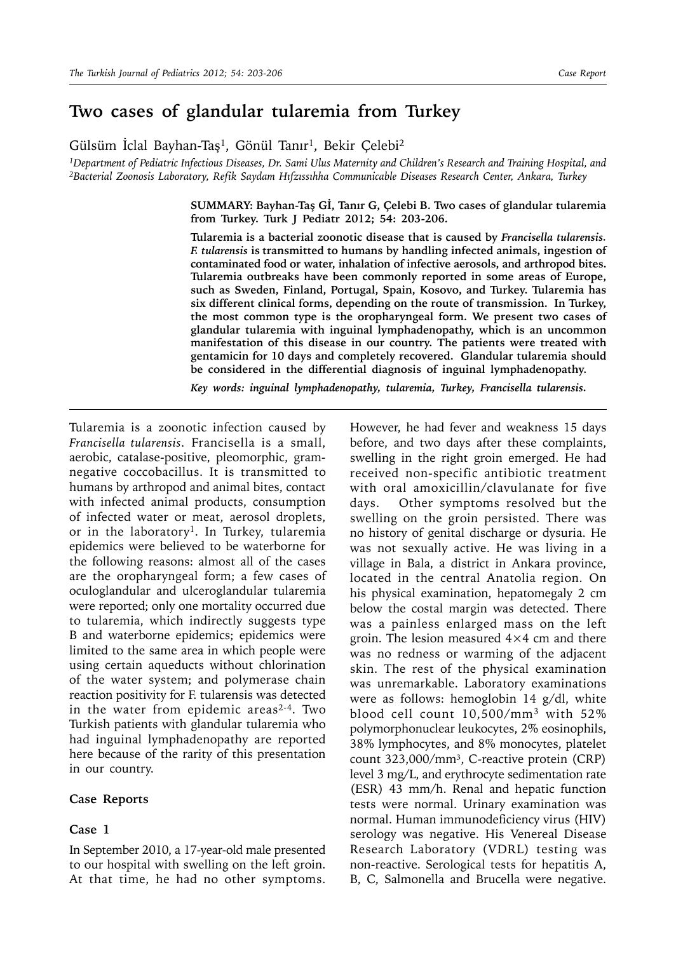# **Two cases of glandular tularemia from Turkey**

Gülsüm Iclal Bayhan-Taş<sup>1</sup>, Gönül Tanır<sup>1</sup>, Bekir Çelebi<sup>2</sup>

*1Department of Pediatric Infectious Diseases, Dr. Sami Ulus Maternity and Children's Research and Training Hospital, and 2Bacterial Zoonosis Laboratory, Refik Saydam Hıfzıssıhha Communicable Diseases Research Center, Ankara, Turkey*

> **SUMMARY: Bayhan-Taş Gİ, Tanır G, Çelebi B. Two cases of glandular tularemia from Turkey. Turk J Pediatr 2012; 54: 203-206.**

> **Tularemia is a bacterial zoonotic disease that is caused by** *Francisella tularensis. F. tularensis* **is transmitted to humans by handling infected animals, ingestion of contaminated food or water, inhalation of infective aerosols, and arthropod bites. Tularemia outbreaks have been commonly reported in some areas of Europe, such as Sweden, Finland, Portugal, Spain, Kosovo, and Turkey. Tularemia has six different clinical forms, depending on the route of transmission. In Turkey, the most common type is the oropharyngeal form. We present two cases of glandular tularemia with inguinal lymphadenopathy, which is an uncommon manifestation of this disease in our country. The patients were treated with gentamicin for 10 days and completely recovered. Glandular tularemia should be considered in the differential diagnosis of inguinal lymphadenopathy.**

*Key words: inguinal lymphadenopathy, tularemia, Turkey, Francisella tularensis.*

Tularemia is a zoonotic infection caused by *Francisella tularensis*. Francisella is a small, aerobic, catalase-positive, pleomorphic, gramnegative coccobacillus. It is transmitted to humans by arthropod and animal bites, contact with infected animal products, consumption of infected water or meat, aerosol droplets, or in the laboratory<sup>1</sup>. In Turkey, tularemia epidemics were believed to be waterborne for the following reasons: almost all of the cases are the oropharyngeal form; a few cases of oculoglandular and ulceroglandular tularemia were reported; only one mortality occurred due to tularemia, which indirectly suggests type B and waterborne epidemics; epidemics were limited to the same area in which people were using certain aqueducts without chlorination of the water system; and polymerase chain reaction positivity for F. tularensis was detected in the water from epidemic areas2-4. Two Turkish patients with glandular tularemia who had inguinal lymphadenopathy are reported here because of the rarity of this presentation in our country.

#### **Case Reports**

### **Case 1**

In September 2010, a 17-year-old male presented to our hospital with swelling on the left groin. At that time, he had no other symptoms. However, he had fever and weakness 15 days before, and two days after these complaints, swelling in the right groin emerged. He had received non-specific antibiotic treatment with oral amoxicillin/clavulanate for five days. Other symptoms resolved but the swelling on the groin persisted. There was no history of genital discharge or dysuria. He was not sexually active. He was living in a village in Bala, a district in Ankara province, located in the central Anatolia region. On his physical examination, hepatomegaly 2 cm below the costal margin was detected. There was a painless enlarged mass on the left groin. The lesion measured  $4\times4$  cm and there was no redness or warming of the adjacent skin. The rest of the physical examination was unremarkable. Laboratory examinations were as follows: hemoglobin 14 g/dl, white blood cell count 10,500/mm3 with 52% polymorphonuclear leukocytes, 2% eosinophils, 38% lymphocytes, and 8% monocytes, platelet count 323,000/mm<sup>3</sup>, C-reactive protein (CRP) level 3 mg/L, and erythrocyte sedimentation rate (ESR) 43 mm/h. Renal and hepatic function tests were normal. Urinary examination was normal. Human immunodeficiency virus (HIV) serology was negative. His Venereal Disease Research Laboratory (VDRL) testing was non-reactive. Serological tests for hepatitis A, B, C, Salmonella and Brucella were negative.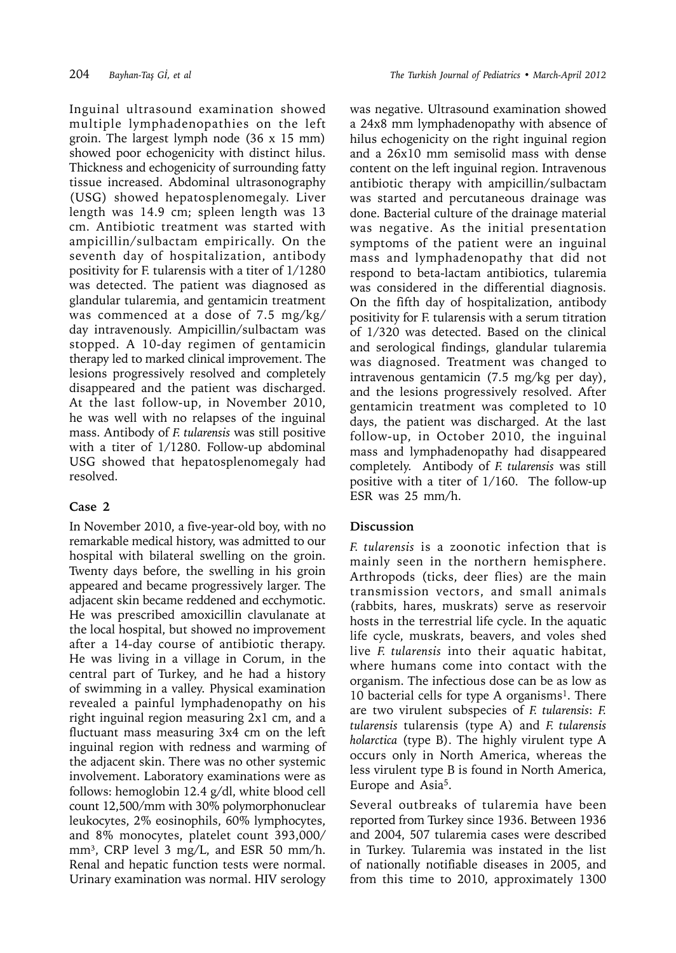Inguinal ultrasound examination showed multiple lymphadenopathies on the left groin. The largest lymph node (36 x 15 mm) showed poor echogenicity with distinct hilus. Thickness and echogenicity of surrounding fatty tissue increased. Abdominal ultrasonography (USG) showed hepatosplenomegaly. Liver length was 14.9 cm; spleen length was 13 cm. Antibiotic treatment was started with ampicillin/sulbactam empirically. On the seventh day of hospitalization, antibody positivity for F. tularensis with a titer of 1/1280 was detected. The patient was diagnosed as glandular tularemia, and gentamicin treatment was commenced at a dose of 7.5 mg/kg/ day intravenously. Ampicillin/sulbactam was stopped. A 10-day regimen of gentamicin therapy led to marked clinical improvement. The lesions progressively resolved and completely disappeared and the patient was discharged. At the last follow-up, in November 2010, he was well with no relapses of the inguinal mass. Antibody of *F. tularensis* was still positive with a titer of 1/1280. Follow-up abdominal USG showed that hepatosplenomegaly had resolved.

### **Case 2**

In November 2010, a five-year-old boy, with no remarkable medical history, was admitted to our hospital with bilateral swelling on the groin. Twenty days before, the swelling in his groin appeared and became progressively larger. The adjacent skin became reddened and ecchymotic. He was prescribed amoxicillin clavulanate at the local hospital, but showed no improvement after a 14-day course of antibiotic therapy. He was living in a village in Corum, in the central part of Turkey, and he had a history of swimming in a valley. Physical examination revealed a painful lymphadenopathy on his right inguinal region measuring 2x1 cm, and a fluctuant mass measuring 3x4 cm on the left inguinal region with redness and warming of the adjacent skin. There was no other systemic involvement. Laboratory examinations were as follows: hemoglobin 12.4 g/dl, white blood cell count 12,500/mm with 30% polymorphonuclear leukocytes, 2% eosinophils, 60% lymphocytes, and 8% monocytes, platelet count 393,000/ mm<sup>3</sup>, CRP level 3 mg/L, and ESR 50 mm/h. Renal and hepatic function tests were normal. Urinary examination was normal. HIV serology

was negative. Ultrasound examination showed a 24x8 mm lymphadenopathy with absence of hilus echogenicity on the right inguinal region and a 26x10 mm semisolid mass with dense content on the left inguinal region. Intravenous antibiotic therapy with ampicillin/sulbactam was started and percutaneous drainage was done. Bacterial culture of the drainage material was negative. As the initial presentation symptoms of the patient were an inguinal mass and lymphadenopathy that did not respond to beta-lactam antibiotics, tularemia was considered in the differential diagnosis. On the fifth day of hospitalization, antibody positivity for F. tularensis with a serum titration of 1/320 was detected. Based on the clinical and serological findings, glandular tularemia was diagnosed. Treatment was changed to intravenous gentamicin (7.5 mg/kg per day), and the lesions progressively resolved. After gentamicin treatment was completed to 10 days, the patient was discharged. At the last follow-up, in October 2010, the inguinal mass and lymphadenopathy had disappeared completely. Antibody of *F. tularensis* was still positive with a titer of 1/160. The follow-up ESR was 25 mm/h.

## **Discussion**

*F. tularensis* is a zoonotic infection that is mainly seen in the northern hemisphere. Arthropods (ticks, deer flies) are the main transmission vectors, and small animals (rabbits, hares, muskrats) serve as reservoir hosts in the terrestrial life cycle. In the aquatic life cycle, muskrats, beavers, and voles shed live *F. tularensis* into their aquatic habitat, where humans come into contact with the organism. The infectious dose can be as low as 10 bacterial cells for type A organisms<sup>1</sup>. There are two virulent subspecies of *F. tularensis*: *F. tularensis* tularensis (type A) and *F. tularensis holarctica* (type B). The highly virulent type A occurs only in North America, whereas the less virulent type B is found in North America, Europe and Asia5.

Several outbreaks of tularemia have been reported from Turkey since 1936. Between 1936 and 2004, 507 tularemia cases were described in Turkey. Tularemia was instated in the list of nationally notifiable diseases in 2005, and from this time to 2010, approximately 1300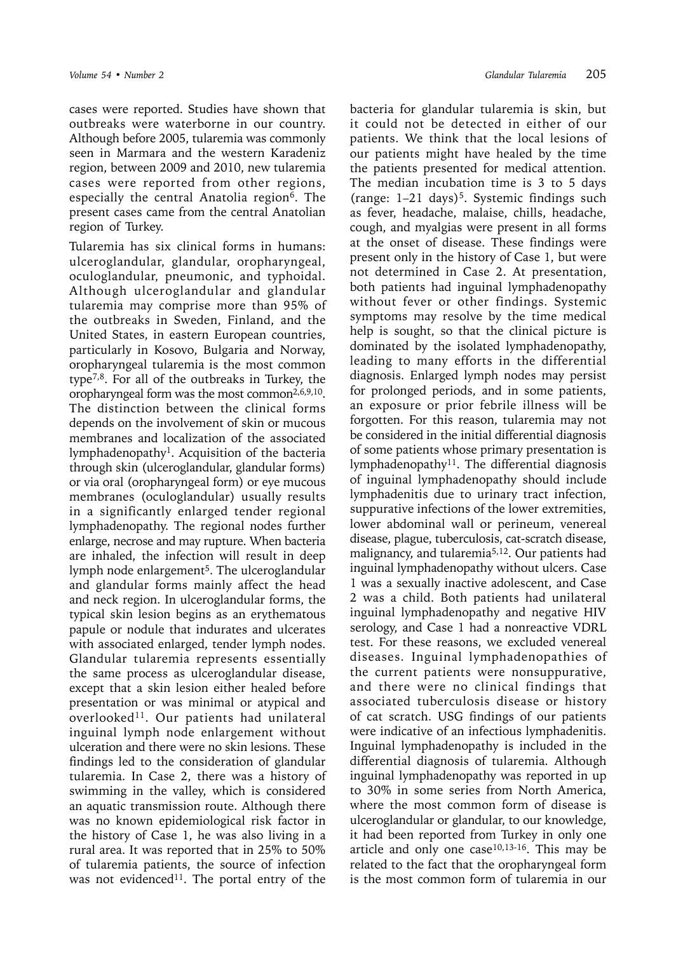cases were reported. Studies have shown that outbreaks were waterborne in our country. Although before 2005, tularemia was commonly seen in Marmara and the western Karadeniz region, between 2009 and 2010, new tularemia cases were reported from other regions, especially the central Anatolia region<sup>6</sup>. The present cases came from the central Anatolian region of Turkey.

Tularemia has six clinical forms in humans: ulceroglandular, glandular, oropharyngeal, oculoglandular, pneumonic, and typhoidal. Although ulceroglandular and glandular tularemia may comprise more than 95% of the outbreaks in Sweden, Finland, and the United States, in eastern European countries, particularly in Kosovo, Bulgaria and Norway, oropharyngeal tularemia is the most common type7,8. For all of the outbreaks in Turkey, the oropharyngeal form was the most common2,6,9,10. The distinction between the clinical forms depends on the involvement of skin or mucous membranes and localization of the associated lymphadenopathy<sup>1</sup>. Acquisition of the bacteria through skin (ulceroglandular, glandular forms) or via oral (oropharyngeal form) or eye mucous membranes (oculoglandular) usually results in a significantly enlarged tender regional lymphadenopathy. The regional nodes further enlarge, necrose and may rupture. When bacteria are inhaled, the infection will result in deep lymph node enlargement<sup>5</sup>. The ulceroglandular and glandular forms mainly affect the head and neck region. In ulceroglandular forms, the typical skin lesion begins as an erythematous papule or nodule that indurates and ulcerates with associated enlarged, tender lymph nodes. Glandular tularemia represents essentially the same process as ulceroglandular disease, except that a skin lesion either healed before presentation or was minimal or atypical and overlooked<sup>11</sup>. Our patients had unilateral inguinal lymph node enlargement without ulceration and there were no skin lesions. These findings led to the consideration of glandular tularemia. In Case 2, there was a history of swimming in the valley, which is considered an aquatic transmission route. Although there was no known epidemiological risk factor in the history of Case 1, he was also living in a rural area. It was reported that in 25% to 50% of tularemia patients, the source of infection was not evidenced<sup>11</sup>. The portal entry of the

bacteria for glandular tularemia is skin, but it could not be detected in either of our patients. We think that the local lesions of our patients might have healed by the time the patients presented for medical attention. The median incubation time is 3 to 5 days (range:  $1-21$  days)<sup>5</sup>. Systemic findings such as fever, headache, malaise, chills, headache, cough, and myalgias were present in all forms at the onset of disease. These findings were present only in the history of Case 1, but were not determined in Case 2. At presentation, both patients had inguinal lymphadenopathy without fever or other findings. Systemic symptoms may resolve by the time medical help is sought, so that the clinical picture is dominated by the isolated lymphadenopathy, leading to many efforts in the differential diagnosis. Enlarged lymph nodes may persist for prolonged periods, and in some patients, an exposure or prior febrile illness will be forgotten. For this reason, tularemia may not be considered in the initial differential diagnosis of some patients whose primary presentation is lymphadenopathy<sup>11</sup>. The differential diagnosis of inguinal lymphadenopathy should include lymphadenitis due to urinary tract infection, suppurative infections of the lower extremities, lower abdominal wall or perineum, venereal disease, plague, tuberculosis, cat-scratch disease, malignancy, and tularemia5,12. Our patients had inguinal lymphadenopathy without ulcers. Case 1 was a sexually inactive adolescent, and Case 2 was a child. Both patients had unilateral inguinal lymphadenopathy and negative HIV serology, and Case 1 had a nonreactive VDRL test. For these reasons, we excluded venereal diseases. Inguinal lymphadenopathies of the current patients were nonsuppurative, and there were no clinical findings that associated tuberculosis disease or history of cat scratch. USG findings of our patients were indicative of an infectious lymphadenitis. Inguinal lymphadenopathy is included in the differential diagnosis of tularemia. Although inguinal lymphadenopathy was reported in up to 30% in some series from North America, where the most common form of disease is ulceroglandular or glandular, to our knowledge, it had been reported from Turkey in only one article and only one case $10,13-16$ . This may be related to the fact that the oropharyngeal form is the most common form of tularemia in our